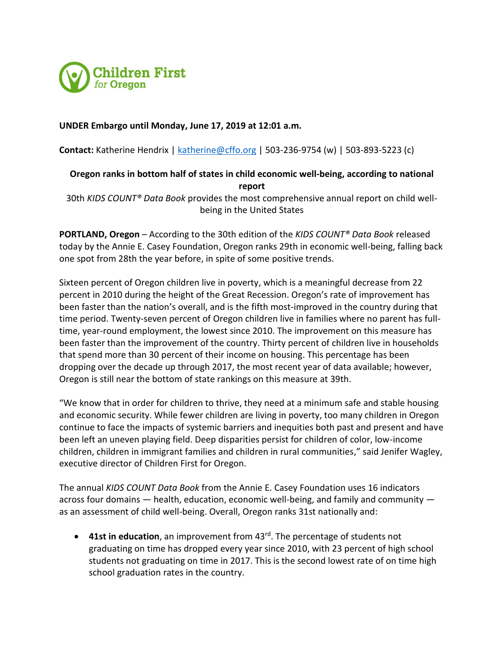

### **UNDER Embargo until Monday, June 17, 2019 at 12:01 a.m.**

**Contact:** Katherine Hendrix | [katherine@cffo.org](mailto:katherine@cffo.org) | 503-236-9754 (w) | 503-893-5223 (c)

# **Oregon ranks in bottom half of states in child economic well-being, according to national report**

30th *KIDS COUNT® Data Book* provides the most comprehensive annual report on child wellbeing in the United States

**PORTLAND, Oregon** – According to the 30th edition of the *KIDS COUNT® Data Book* released today by the Annie E. Casey Foundation, Oregon ranks 29th in economic well-being, falling back one spot from 28th the year before, in spite of some positive trends.

Sixteen percent of Oregon children live in poverty, which is a meaningful decrease from 22 percent in 2010 during the height of the Great Recession. Oregon's rate of improvement has been faster than the nation's overall, and is the fifth most-improved in the country during that time period. Twenty-seven percent of Oregon children live in families where no parent has fulltime, year-round employment, the lowest since 2010. The improvement on this measure has been faster than the improvement of the country. Thirty percent of children live in households that spend more than 30 percent of their income on housing. This percentage has been dropping over the decade up through 2017, the most recent year of data available; however, Oregon is still near the bottom of state rankings on this measure at 39th.

"We know that in order for children to thrive, they need at a minimum safe and stable housing and economic security. While fewer children are living in poverty, too many children in Oregon continue to face the impacts of systemic barriers and inequities both past and present and have been left an uneven playing field. Deep disparities persist for children of color, low-income children, children in immigrant families and children in rural communities," said Jenifer Wagley, executive director of Children First for Oregon.

The annual *KIDS COUNT Data Book* from the Annie E. Casey Foundation uses 16 indicators across four domains — health, education, economic well-being, and family and community as an assessment of child well-being. Overall, Oregon ranks 31st nationally and:

• **41st in education**, an improvement from 43rd. The percentage of students not graduating on time has dropped every year since 2010, with 23 percent of high school students not graduating on time in 2017. This is the second lowest rate of on time high school graduation rates in the country.